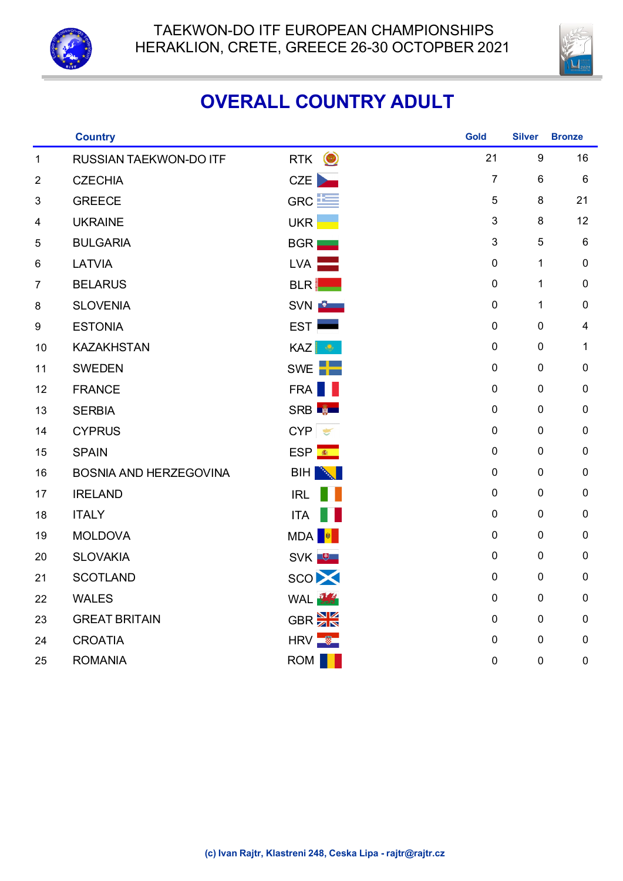



## **OVERALL COUNTRY ADULT**

|                  | <b>Country</b>                |                                 | <b>Gold</b>      | <b>Silver</b>    | <b>Bronze</b>           |
|------------------|-------------------------------|---------------------------------|------------------|------------------|-------------------------|
| $\mathbf 1$      | RUSSIAN TAEKWON-DO ITF        | $\circledcirc$<br><b>RTK</b>    | 21               | $\boldsymbol{9}$ | 16                      |
| $\boldsymbol{2}$ | <b>CZECHIA</b>                | <b>CZE</b>                      | $\overline{7}$   | $\,6$            | $\,6\,$                 |
| 3                | <b>GREECE</b>                 | GRC <sup>LE</sup>               | 5                | 8                | 21                      |
| 4                | <b>UKRAINE</b>                | UKR                             | 3                | $\bf 8$          | 12                      |
| 5                | <b>BULGARIA</b>               | BGR                             | 3                | 5                | $\,6$                   |
| 6                | LATVIA                        | $LVA$ $\qquad$                  | $\pmb{0}$        | $\mathbf{1}$     | 0                       |
| $\overline{7}$   | <b>BELARUS</b>                | <b>BLR</b>                      | $\pmb{0}$        | $\mathbf 1$      | $\pmb{0}$               |
| 8                | <b>SLOVENIA</b>               | SVN <b>B</b>                    | $\pmb{0}$        | 1                | 0                       |
| $\boldsymbol{9}$ | <b>ESTONIA</b>                | EST                             | $\pmb{0}$        | $\pmb{0}$        | $\overline{\mathbf{4}}$ |
| 10               | <b>KAZAKHSTAN</b>             | <b>KAZ</b><br>$\mathbf{Q}$      | $\pmb{0}$        | $\pmb{0}$        | 1                       |
| 11               | <b>SWEDEN</b>                 | SWE                             | $\pmb{0}$        | $\pmb{0}$        | $\pmb{0}$               |
| 12               | <b>FRANCE</b>                 | <b>FRA</b>                      | $\pmb{0}$        | $\pmb{0}$        | $\pmb{0}$               |
| 13               | <b>SERBIA</b>                 | SRB <b>N</b>                    | $\pmb{0}$        | $\pmb{0}$        | $\pmb{0}$               |
| 14               | <b>CYPRUS</b>                 | CYP<br>$\frac{1}{2}$            | $\pmb{0}$        | $\pmb{0}$        | 0                       |
| 15               | <b>SPAIN</b>                  | $ESP$ $\frac{\bullet}{\bullet}$ | $\pmb{0}$        | $\pmb{0}$        | $\pmb{0}$               |
| 16               | <b>BOSNIA AND HERZEGOVINA</b> | <b>BIH</b>                      | $\pmb{0}$        | $\pmb{0}$        | 0                       |
| 17               | <b>IRELAND</b>                | <b>IRL</b>                      | $\pmb{0}$        | $\pmb{0}$        | $\pmb{0}$               |
| 18               | <b>ITALY</b>                  | <b>ITA</b>                      | $\pmb{0}$        | $\pmb{0}$        | 0                       |
| 19               | <b>MOLDOVA</b>                | MDA <sup>N</sup>                | $\pmb{0}$        | $\boldsymbol{0}$ | 0                       |
| 20               | <b>SLOVAKIA</b>               | SVK <sup>+</sup>                | $\pmb{0}$        | $\pmb{0}$        | 0                       |
| 21               | <b>SCOTLAND</b>               | <b>SCO</b>                      | $\pmb{0}$        | $\pmb{0}$        | 0                       |
| 22               | <b>WALES</b>                  | WAL <b>WA</b>                   | $\pmb{0}$        | $\pmb{0}$        | 0                       |
| 23               | <b>GREAT BRITAIN</b>          | GBR <sup>N</sup>                | $\pmb{0}$        | $\pmb{0}$        | $\pmb{0}$               |
| 24               | <b>CROATIA</b>                | $HRV$ $\frac{1}{2}$             | $\pmb{0}$        | $\pmb{0}$        | $\pmb{0}$               |
| 25               | <b>ROMANIA</b>                | <b>ROM</b>                      | $\boldsymbol{0}$ | $\mathbf 0$      | $\pmb{0}$               |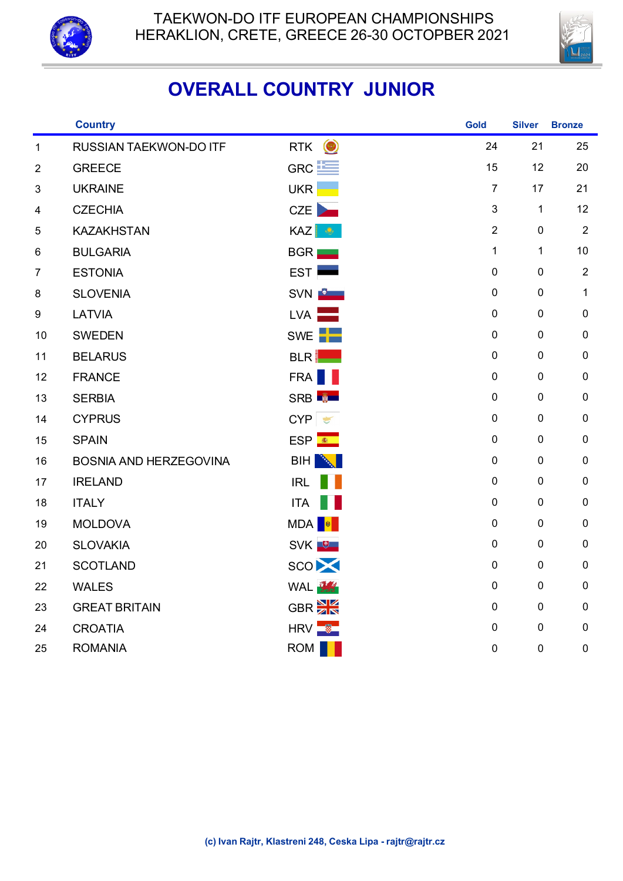



## **OVERALL COUNTRY JUNIOR**

|                         | <b>Country</b>                |                                | Gold                      | <b>Silver</b>    | <b>Bronze</b>  |
|-------------------------|-------------------------------|--------------------------------|---------------------------|------------------|----------------|
| $\mathbf{1}$            | RUSSIAN TAEKWON-DO ITF        | $\bigcirc$<br><b>RTK</b>       | 24                        | 21               | 25             |
| $\overline{c}$          | <b>GREECE</b>                 | GRC <sup>LE</sup>              | 15                        | 12               | 20             |
| $\sqrt{3}$              | <b>UKRAINE</b>                | <b>UKR</b>                     | $\overline{7}$            | 17               | 21             |
| $\overline{\mathbf{4}}$ | <b>CZECHIA</b>                | CZE                            | $\ensuremath{\mathsf{3}}$ | $\mathbf{1}$     | 12             |
| 5                       | <b>KAZAKHSTAN</b>             | <b>KAZ</b><br>$\ddot{\bullet}$ | $\overline{2}$            | $\mathbf 0$      | $\overline{2}$ |
| 6                       | <b>BULGARIA</b>               | <b>BGR</b>                     | $\mathbf{1}$              | $\mathbf 1$      | 10             |
| $\overline{7}$          | <b>ESTONIA</b>                | <b>EST</b>                     | $\pmb{0}$                 | $\pmb{0}$        | $\mathbf{2}$   |
| 8                       | <b>SLOVENIA</b>               | SVN <b>B</b>                   | $\pmb{0}$                 | $\mathbf 0$      | $\mathbf 1$    |
| $\boldsymbol{9}$        | LATVIA                        | <b>LVA</b>                     | $\pmb{0}$                 | $\mathbf 0$      | $\pmb{0}$      |
| 10                      | <b>SWEDEN</b>                 | SWE <sup>-</sup>               | $\pmb{0}$                 | $\mathbf 0$      | $\pmb{0}$      |
| 11                      | <b>BELARUS</b>                | <b>BLR</b>                     | $\mathbf 0$               | $\pmb{0}$        | $\pmb{0}$      |
| 12                      | <b>FRANCE</b>                 | FRA                            | $\pmb{0}$                 | $\mathbf 0$      | $\pmb{0}$      |
| 13                      | <b>SERBIA</b>                 | SRB <sup>B</sup>               | $\pmb{0}$                 | $\mathbf 0$      | $\pmb{0}$      |
| 14                      | <b>CYPRUS</b>                 | CYP                            | $\pmb{0}$                 | $\pmb{0}$        | $\pmb{0}$      |
| 15                      | <b>SPAIN</b>                  | ESP <sup>®</sup>               | $\mathbf 0$               | $\mathbf 0$      | $\pmb{0}$      |
| 16                      | <b>BOSNIA AND HERZEGOVINA</b> | BIH<br><b>AND</b>              | $\pmb{0}$                 | $\mathbf 0$      | $\pmb{0}$      |
| 17                      | <b>IRELAND</b>                | <b>IRL</b>                     | $\pmb{0}$                 | $\pmb{0}$        | $\pmb{0}$      |
| 18                      | <b>ITALY</b>                  | <b>ITA</b>                     | $\pmb{0}$                 | $\pmb{0}$        | $\pmb{0}$      |
| 19                      | <b>MOLDOVA</b>                | MDA<br><b>M</b>                | $\pmb{0}$                 | $\mathbf 0$      | $\pmb{0}$      |
| 20                      | <b>SLOVAKIA</b>               | SVK <sup>U</sup>               | $\pmb{0}$                 | $\boldsymbol{0}$ | $\pmb{0}$      |
| 21                      | <b>SCOTLAND</b>               | SCO <sup>X</sup>               | $\pmb{0}$                 | $\boldsymbol{0}$ | $\pmb{0}$      |
| 22                      | <b>WALES</b>                  | WAL <b>WA</b>                  | $\mathbf 0$               | $\pmb{0}$        | $\pmb{0}$      |
| 23                      | <b>GREAT BRITAIN</b>          | GBR <sup>N</sup>               | $\pmb{0}$                 | $\mathbf 0$      | $\pmb{0}$      |
| 24                      | <b>CROATIA</b>                | $HRV$ $\frac{1}{2}$            | $\pmb{0}$                 | $\pmb{0}$        | $\pmb{0}$      |
| 25                      | <b>ROMANIA</b>                | ROM                            | $\pmb{0}$                 | $\pmb{0}$        | $\pmb{0}$      |